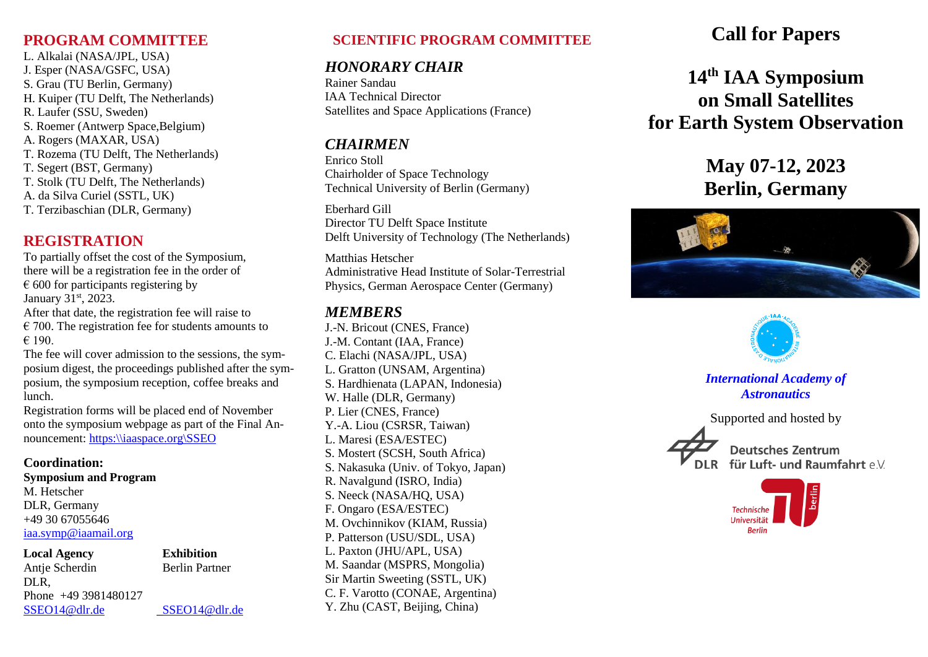### **PROGRAM COMMITTEE**

L. Alkalai (NASA/JPL, USA) J. Esper (NASA/GSFC, USA) S. Grau (TU Berlin, Germany) H. Kuiper (TU Delft, The Netherlands) R. Laufer (SSU, Sweden) S. Roemer (Antwerp Space,Belgium) A. Rogers (MAXAR, USA) T. Rozema (TU Delft, The Netherlands) T. Segert (BST, Germany) T. Stolk (TU Delft, The Netherlands) A. da Silva Curiel (SSTL, UK) T. Terzibaschian (DLR, Germany)

# **REGISTRATION**

To partially offset the cost of the Symposium, there will be a registration fee in the order of  $\epsilon$  600 for participants registering by January 31<sup>st</sup>, 2023.

After that date, the registration fee will raise to  $\epsilon$  700. The registration fee for students amounts to  $€ 190.$ 

The fee will cover admission to the sessions, the symposium digest, the proceedings published after the symposium, the symposium reception, coffee breaks and lunch.

Registration forms will be placed end of November onto the symposium webpage as part of the Final Announcement: [https:\\iaaspace.org\SSEO](https://iaaspace.org/SSEO)

### **Coordination:**

**Symposium and Program** M. Hetscher

DLR, Germany +49 30 67055646 [iaa.symp@iaamail.org](mailto:iaa.symp@iaamail.org)

**Local Agency Exhibition** Antje Scherdin Berlin Partner DLR, Phone +49 3981480127 [SSEO14@dlr.de](mailto:SSEO14@dlr.de) SSEO14@dlr.de

# **SCIENTIFIC PROGRAM COMMITTEE**

## *HONORARY CHAIR*

Rainer Sandau IAA Technical Director Satellites and Space Applications (France)

## *CHAIRMEN*

Enrico Stoll Chairholder of Space Technology Technical University of Berlin (Germany)

Eberhard Gill Director TU Delft Space Institute Delft University of Technology (The Netherlands)

Matthias Hetscher Administrative Head Institute of Solar-Terrestrial Physics, German Aerospace Center (Germany)

## *MEMBERS*

J.-N. Bricout (CNES, France) J.-M. Contant (IAA, France) C. Elachi (NASA/JPL, USA) L. Gratton (UNSAM, Argentina) S. Hardhienata (LAPAN, Indonesia) W. Halle (DLR, Germany) P. Lier (CNES, France) Y.-A. Liou (CSRSR, Taiwan) L. Maresi (ESA/ESTEC) S. Mostert (SCSH, South Africa) S. Nakasuka (Univ. of Tokyo, Japan) R. Navalgund (ISRO, India) S. Neeck (NASA/HQ, USA) F. Ongaro (ESA/ESTEC) M. Ovchinnikov (KIAM, Russia) P. Patterson (USU/SDL, USA) L. Paxton (JHU/APL, USA) M. Saandar (MSPRS, Mongolia) Sir Martin Sweeting (SSTL, UK) C. F. Varotto (CONAE, Argentina) Y. Zhu (CAST, Beijing, China)

# **Call for Papers**

# **14th IAA Symposium on Small Satellites for Earth System Observation**

# **May 07-12, 2023 Berlin, Germany**





*International Academy of Astronautics*

Supported and hosted by



**Deutsches Zentrum** für Luft- und Raumfahrt e.V.